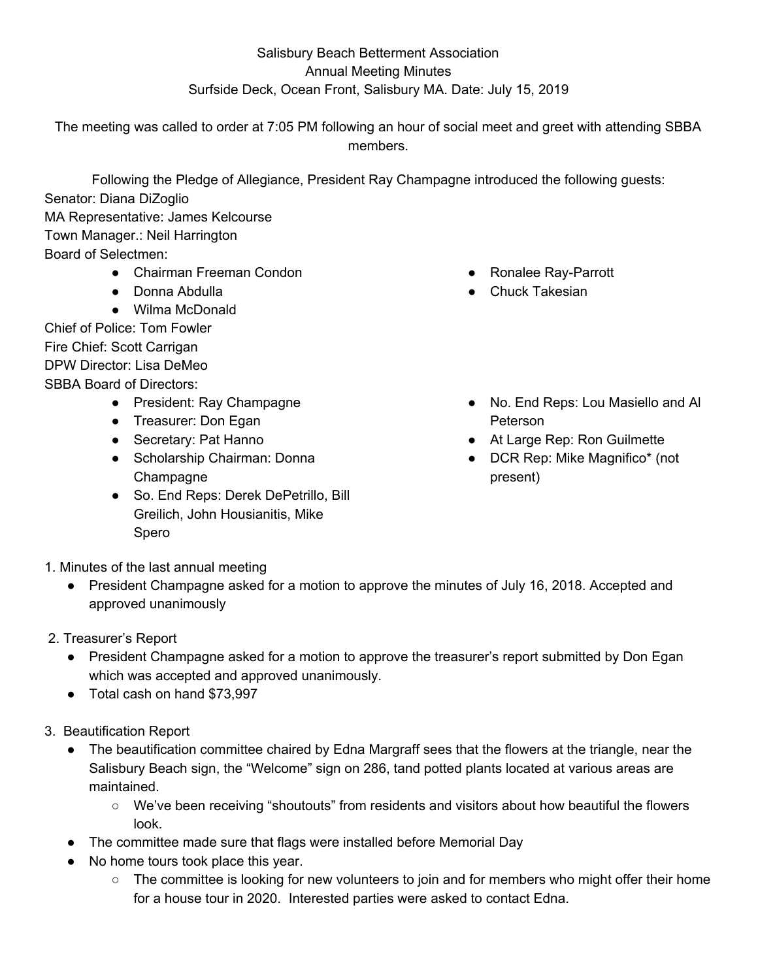## Salisbury Beach Betterment Association Annual Meeting Minutes Surfside Deck, Ocean Front, Salisbury MA. Date: July 15, 2019

The meeting was called to order at 7:05 PM following an hour of social meet and greet with attending SBBA members.

Following the Pledge of Allegiance, President Ray Champagne introduced the following guests: Senator: Diana DiZoglio MA Representative: James Kelcourse Town Manager.: Neil Harrington Board of Selectmen: ● Chairman Freeman Condon

- Donna Abdulla
- Wilma McDonald

Chief of Police: Tom Fowler Fire Chief: Scott Carrigan DPW Director: Lisa DeMeo SBBA Board of Directors:

- President: Ray Champagne
- Treasurer: Don Egan
- Secretary: Pat Hanno
- Scholarship Chairman: Donna **Champagne**
- So. End Reps: Derek DePetrillo, Bill Greilich, John Housianitis, Mike Spero
- Ronalee Ray-Parrott
- Chuck Takesian
- No. End Reps: Lou Masiello and Al Peterson
- At Large Rep: Ron Guilmette
- DCR Rep: Mike Magnifico\* (not present)

- 1. Minutes of the last annual meeting
	- President Champagne asked for a motion to approve the minutes of July 16, 2018. Accepted and approved unanimously
- 2. Treasurer's Report
	- President Champagne asked for a motion to approve the treasurer's report submitted by Don Egan which was accepted and approved unanimously.
	- Total cash on hand \$73,997
- 3. Beautification Report
	- The beautification committee chaired by Edna Margraff sees that the flowers at the triangle, near the Salisbury Beach sign, the "Welcome" sign on 286, tand potted plants located at various areas are maintained.
		- We've been receiving "shoutouts" from residents and visitors about how beautiful the flowers look.
	- The committee made sure that flags were installed before Memorial Day
	- No home tours took place this year.
		- $\circ$  The committee is looking for new volunteers to join and for members who might offer their home for a house tour in 2020. Interested parties were asked to contact Edna.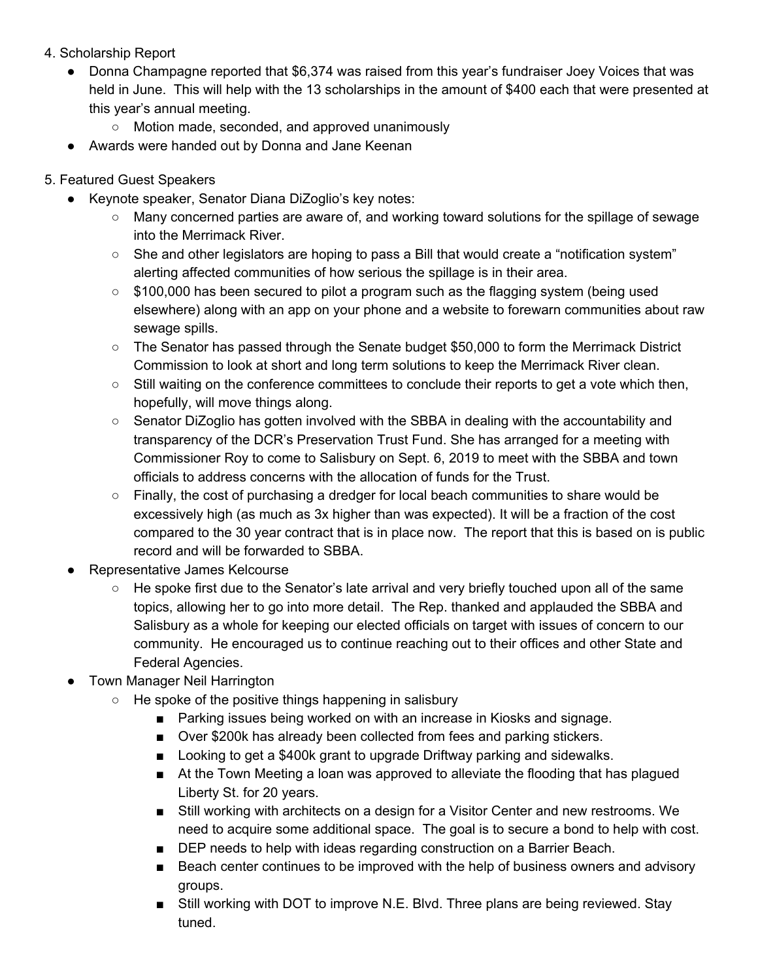- 4. Scholarship Report
	- Donna Champagne reported that \$6,374 was raised from this year's fundraiser Joey Voices that was held in June. This will help with the 13 scholarships in the amount of \$400 each that were presented at this year's annual meeting.
		- Motion made, seconded, and approved unanimously
	- Awards were handed out by Donna and Jane Keenan
- 5. Featured Guest Speakers
	- Keynote speaker, Senator Diana DiZoglio's key notes:
		- Many concerned parties are aware of, and working toward solutions for the spillage of sewage into the Merrimack River.
		- $\circ$  She and other legislators are hoping to pass a Bill that would create a "notification system" alerting affected communities of how serious the spillage is in their area.
		- \$100,000 has been secured to pilot a program such as the flagging system (being used elsewhere) along with an app on your phone and a website to forewarn communities about raw sewage spills.
		- The Senator has passed through the Senate budget \$50,000 to form the Merrimack District Commission to look at short and long term solutions to keep the Merrimack River clean.
		- Still waiting on the conference committees to conclude their reports to get a vote which then, hopefully, will move things along.
		- Senator DiZoglio has gotten involved with the SBBA in dealing with the accountability and transparency of the DCR's Preservation Trust Fund. She has arranged for a meeting with Commissioner Roy to come to Salisbury on Sept. 6, 2019 to meet with the SBBA and town officials to address concerns with the allocation of funds for the Trust.
		- Finally, the cost of purchasing a dredger for local beach communities to share would be excessively high (as much as 3x higher than was expected). It will be a fraction of the cost compared to the 30 year contract that is in place now. The report that this is based on is public record and will be forwarded to SBBA.
	- Representative James Kelcourse
		- $\circ$  He spoke first due to the Senator's late arrival and very briefly touched upon all of the same topics, allowing her to go into more detail. The Rep. thanked and applauded the SBBA and Salisbury as a whole for keeping our elected officials on target with issues of concern to our community. He encouraged us to continue reaching out to their offices and other State and Federal Agencies.
	- **Town Manager Neil Harrington** 
		- He spoke of the positive things happening in salisbury
			- Parking issues being worked on with an increase in Kiosks and signage.
			- Over \$200k has already been collected from fees and parking stickers.
			- Looking to get a \$400k grant to upgrade Driftway parking and sidewalks.
			- At the Town Meeting a loan was approved to alleviate the flooding that has plagued Liberty St. for 20 years.
			- Still working with architects on a design for a Visitor Center and new restrooms. We need to acquire some additional space. The goal is to secure a bond to help with cost.
			- DEP needs to help with ideas regarding construction on a Barrier Beach.
			- Beach center continues to be improved with the help of business owners and advisory groups.
			- Still working with DOT to improve N.E. Blvd. Three plans are being reviewed. Stay tuned.